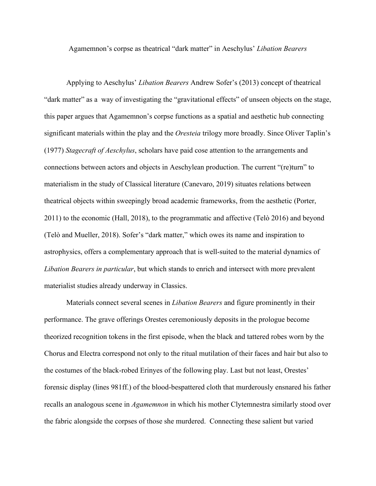Agamemnon's corpse as theatrical "dark matter" in Aeschylus' *Libation Bearers*

Applying to Aeschylus' *Libation Bearers* Andrew Sofer's (2013) concept of theatrical "dark matter" as a way of investigating the "gravitational effects" of unseen objects on the stage, this paper argues that Agamemnon's corpse functions as a spatial and aesthetic hub connecting significant materials within the play and the *Oresteia* trilogy more broadly. Since Oliver Taplin's (1977) *Stagecraft of Aeschylus*, scholars have paid cose attention to the arrangements and connections between actors and objects in Aeschylean production. The current "(re)turn" to materialism in the study of Classical literature (Canevaro, 2019) situates relations between theatrical objects within sweepingly broad academic frameworks, from the aesthetic (Porter, 2011) to the economic (Hall, 2018), to the programmatic and affective (Telò 2016) and beyond (Telò and Mueller, 2018). Sofer's "dark matter," which owes its name and inspiration to astrophysics, offers a complementary approach that is well-suited to the material dynamics of *Libation Bearers in particular*, but which stands to enrich and intersect with more prevalent materialist studies already underway in Classics.

Materials connect several scenes in *Libation Bearers* and figure prominently in their performance. The grave offerings Orestes ceremoniously deposits in the prologue become theorized recognition tokens in the first episode, when the black and tattered robes worn by the Chorus and Electra correspond not only to the ritual mutilation of their faces and hair but also to the costumes of the black-robed Erinyes of the following play. Last but not least, Orestes' forensic display (lines 981ff.) of the blood-bespattered cloth that murderously ensnared his father recalls an analogous scene in *Agamemnon* in which his mother Clytemnestra similarly stood over the fabric alongside the corpses of those she murdered. Connecting these salient but varied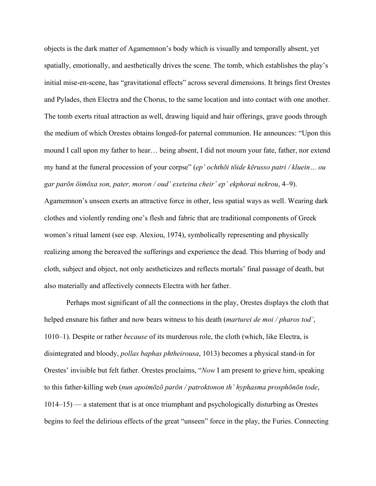objects is the dark matter of Agamemnon's body which is visually and temporally absent, yet spatially, emotionally, and aesthetically drives the scene. The tomb, which establishes the play's initial mise-en-scene, has "gravitational effects" across several dimensions. It brings first Orestes and Pylades, then Electra and the Chorus, to the same location and into contact with one another. The tomb exerts ritual attraction as well, drawing liquid and hair offerings, grave goods through the medium of which Orestes obtains longed-for paternal communion. He announces: "Upon this mound I call upon my father to hear… being absent, I did not mourn your fate, father, nor extend my hand at the funeral procession of your corpse" (*ep' ochthōi tōide kērusso patri / kluein… ou gar parōn ōimōxa son, pater, moron / oud' exeteina cheir' ep' ekphorai nekrou*, 4–9).

Agamemnon's unseen exerts an attractive force in other, less spatial ways as well. Wearing dark clothes and violently rending one's flesh and fabric that are traditional components of Greek women's ritual lament (see esp. Alexiou, 1974), symbolically representing and physically realizing among the bereaved the sufferings and experience the dead. This blurring of body and cloth, subject and object, not only aestheticizes and reflects mortals' final passage of death, but also materially and affectively connects Electra with her father.

Perhaps most significant of all the connections in the play, Orestes displays the cloth that helped ensnare his father and now bears witness to his death (*marturei de moi / pharos tod'*, 1010–1). Despite or rather *because* of its murderous role, the cloth (which, like Electra, is disintegrated and bloody, *pollas baphas phtheirousa*, 1013) becomes a physical stand-in for Orestes' invisible but felt father. Orestes proclaims, "*Now* I am present to grieve him, speaking to this father-killing web (*nun apoimōzō parōn / patroktonon th' hyphasma prosphōnōn tode*, 1014–15) — a statement that is at once triumphant and psychologically disturbing as Orestes begins to feel the delirious effects of the great "unseen" force in the play, the Furies. Connecting